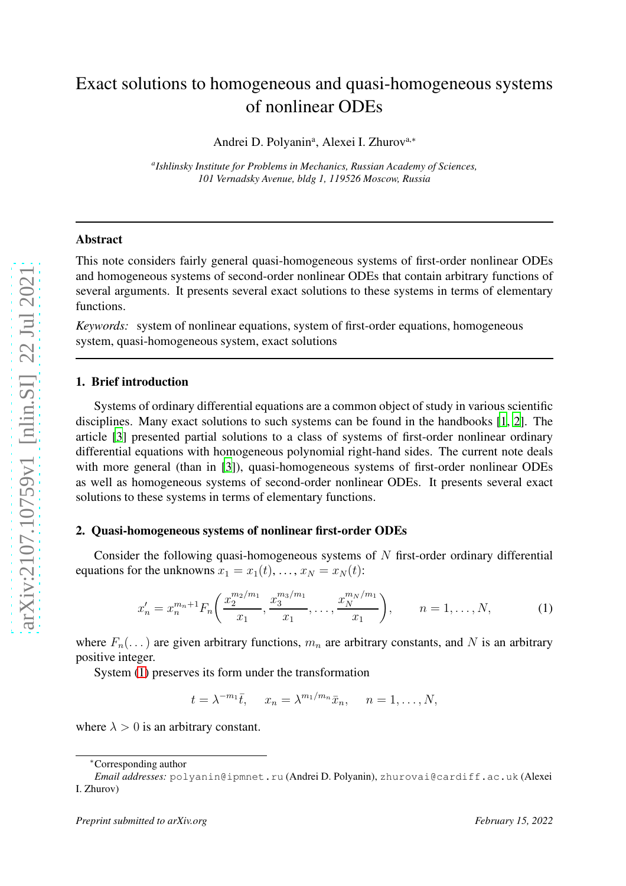# Exact solutions to homogeneous and quasi-homogeneous systems of nonlinear ODEs

Andrei D. Polyanin<sup>a</sup>, Alexei I. Zhurov<sup>a,\*</sup>

*a Ishlinsky Institute for Problems in Mechanics, Russian Academy of Sciences, 101 Vernadsky Avenue, bldg 1, 119526 Moscow, Russia*

## Abstract

This note considers fairly general quasi-homogeneous systems of first-order nonlinear ODEs and homogeneous systems of second-order nonlinear ODEs that contain arbitrary functions of several arguments. It presents several exact solutions to these systems in terms of elementary functions.

*Keywords:* system of nonlinear equations, system of first-order equations, homogeneous system, quasi-homogeneous system, exact solutions

### 1. Brief introduction

Systems of ordinary differential equations are a common object of study in various scientific disciplines. Many exact solutions to such systems can be found in the handbooks [\[1,](#page-3-0) [2](#page-3-1)]. The article [\[3\]](#page-3-2) presented partial solutions to a class of systems of first-order nonlinear ordinary differential equations with homogeneous polynomial right-hand sides. The current note deals with more general (than in [\[3](#page-3-2)]), quasi-homogeneous systems of first-order nonlinear ODEs as well as homogeneous systems of second-order nonlinear ODEs. It presents several exact solutions to these systems in terms of elementary functions .

# 2. Quasi-homogeneous systems of nonlinear first-order ODEs

Consider the following quasi-homogeneous systems of  $N$  first-order ordinary differential equations for the unknowns  $x_1 = x_1(t), \ldots, x_N = x_N(t)$ :

<span id="page-0-0"></span>
$$
x'_n = x_n^{m_n+1} F_n\left(\frac{x_2^{m_2/m_1}}{x_1}, \frac{x_3^{m_3/m_1}}{x_1}, \dots, \frac{x_N^{m_N/m_1}}{x_1}\right), \qquad n = 1, \dots, N,
$$
 (1)

where  $F_n(\ldots)$  are given arbitrary functions,  $m_n$  are arbitrary constants, and N is an arbitrary positive integer.

System [\(1\)](#page-0-0) preserves its form under the transformation

 $t = \lambda^{-m_1} \bar{t}, \quad x_n = \lambda^{m_1/m_n} \bar{x}_n, \quad n = 1, \ldots, N,$ 

where  $\lambda > 0$  is an arbitrary constant.

<sup>∗</sup>Corresponding author

*Email addresses:* polyanin@ipmnet.ru (Andrei D. Polyanin), zhurovai@cardiff.ac.uk (Alexei I. Zhurov)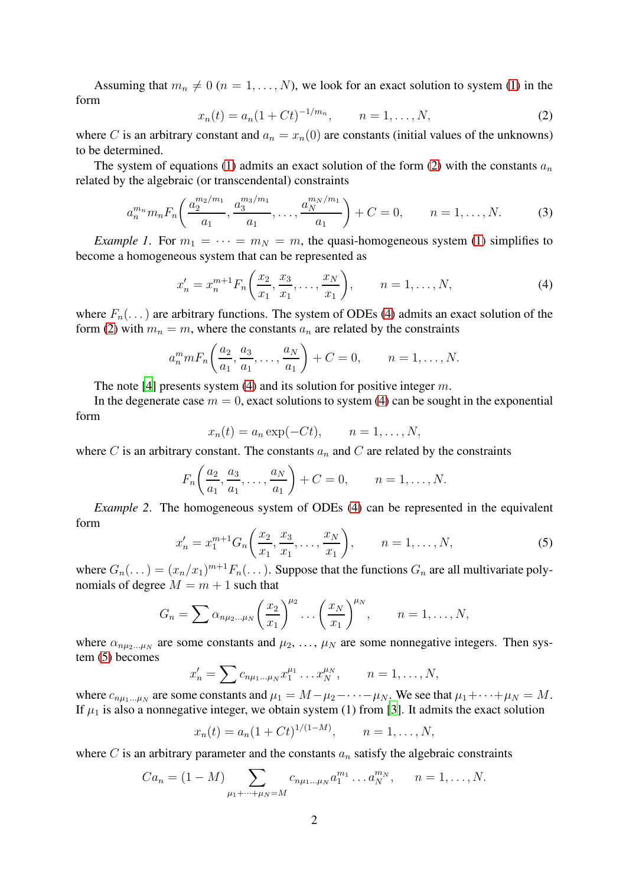Assuming that  $m_n \neq 0$  ( $n = 1, ..., N$ ), we look for an exact solution to system [\(1\)](#page-0-0) in the form

<span id="page-1-0"></span>
$$
x_n(t) = a_n(1 + Ct)^{-1/m_n}, \qquad n = 1, \dots, N,
$$
 (2)

where C is an arbitrary constant and  $a_n = x_n(0)$  are constants (initial values of the unknowns) to be determined.

The system of equations [\(1\)](#page-0-0) admits an exact solution of the form [\(2\)](#page-1-0) with the constants  $a_n$ related by the algebraic (or transcendental) constraints

$$
a_n^{m_n} m_n F_n\left(\frac{a_2^{m_2/m_1}}{a_1}, \frac{a_3^{m_3/m_1}}{a_1}, \dots, \frac{a_N^{m_N/m_1}}{a_1}\right) + C = 0, \qquad n = 1, \dots, N. \tag{3}
$$

*Example 1*. For  $m_1 = \cdots = m_N = m$ , the quasi-homogeneous system [\(1\)](#page-0-0) simplifies to become a homogeneous system that can be represented as

<span id="page-1-1"></span>
$$
x'_n = x_n^{m+1} F_n\left(\frac{x_2}{x_1}, \frac{x_3}{x_1}, \dots, \frac{x_N}{x_1}\right), \qquad n = 1, \dots, N,
$$
 (4)

where  $F_n(\ldots)$  are arbitrary functions. The system of ODEs [\(4\)](#page-1-1) admits an exact solution of the form [\(2\)](#page-1-0) with  $m_n = m$ , where the constants  $a_n$  are related by the constraints

$$
a_n^m m F_n\left(\frac{a_2}{a_1}, \frac{a_3}{a_1}, \dots, \frac{a_N}{a_1}\right) + C = 0, \qquad n = 1, \dots, N.
$$

The note [\[4\]](#page-3-3) presents system [\(4\)](#page-1-1) and its solution for positive integer  $m$ .

In the degenerate case  $m = 0$ , exact solutions to system [\(4\)](#page-1-1) can be sought in the exponential form

$$
x_n(t) = a_n \exp(-Ct), \qquad n = 1, \ldots, N,
$$

where C is an arbitrary constant. The constants  $a_n$  and C are related by the constraints

$$
F_n\left(\frac{a_2}{a_1}, \frac{a_3}{a_1}, \dots, \frac{a_N}{a_1}\right) + C = 0, \qquad n = 1, \dots, N.
$$

*Example 2.* The homogeneous system of ODEs [\(4\)](#page-1-1) can be represented in the equivalent form

<span id="page-1-2"></span>
$$
x'_{n} = x_{1}^{m+1} G_{n} \left( \frac{x_{2}}{x_{1}}, \frac{x_{3}}{x_{1}}, \dots, \frac{x_{N}}{x_{1}} \right), \qquad n = 1, \dots, N,
$$
 (5)

where  $G_n(\ldots) = (x_n/x_1)^{m+1} F_n(\ldots)$ . Suppose that the functions  $G_n$  are all multivariate polynomials of degree  $M = m + 1$  such that

$$
G_n = \sum \alpha_{n\mu_2 \dots \mu_N} \left(\frac{x_2}{x_1}\right)^{\mu_2} \dots \left(\frac{x_N}{x_1}\right)^{\mu_N}, \qquad n = 1, \dots, N,
$$

where  $\alpha_{n\mu_2...\mu_N}$  are some constants and  $\mu_2, \ldots, \mu_N$  are some nonnegative integers. Then system [\(5\)](#page-1-2) becomes

$$
x'_{n} = \sum c_{n\mu_1...\mu_N} x_1^{\mu_1} \dots x_N^{\mu_N}, \qquad n = 1, \dots, N,
$$

where  $c_{n\mu_1...\mu_N}$  are some constants and  $\mu_1 = M - \mu_2 - \cdots - \mu_N$ . We see that  $\mu_1 + \cdots + \mu_N = M$ . If  $\mu_1$  is also a nonnegative integer, we obtain system (1) from [\[3\]](#page-3-2). It admits the exact solution

$$
x_n(t) = a_n(1 + Ct)^{1/(1-M)},
$$
  $n = 1, ..., N,$ 

where C is an arbitrary parameter and the constants  $a_n$  satisfy the algebraic constraints

$$
Ca_n = (1 - M) \sum_{\mu_1 + \dots + \mu_N = M} c_{n\mu_1 \dots \mu_N} a_1^{m_1} \dots a_N^{m_N}, \qquad n = 1, \dots, N.
$$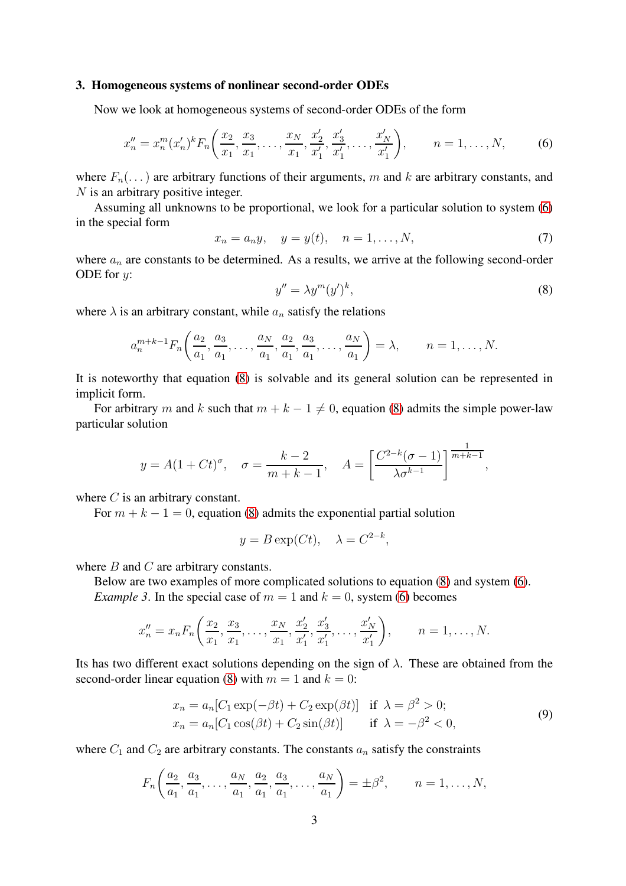#### 3. Homogeneous systems of nonlinear second-order ODEs

Now we look at homogeneous systems of second-order ODEs of the form

<span id="page-2-0"></span>
$$
x_n'' = x_n^m (x_n')^k F_n\left(\frac{x_2}{x_1}, \frac{x_3}{x_1}, \dots, \frac{x_N}{x_1}, \frac{x_2'}{x_1'}, \frac{x_3'}{x_1'}, \dots, \frac{x_N'}{x_1'}\right), \qquad n = 1, \dots, N,
$$
 (6)

where  $F_n(\ldots)$  are arbitrary functions of their arguments, m and k are arbitrary constants, and N is an arbitrary positive integer.

Assuming all unknowns to be proportional, we look for a particular solution to system [\(6\)](#page-2-0) in the special form

$$
x_n = a_n y, \quad y = y(t), \quad n = 1, \dots, N,
$$
 (7)

where  $a_n$  are constants to be determined. As a results, we arrive at the following second-order ODE for  $u$ :

<span id="page-2-1"></span>
$$
y'' = \lambda y^m (y')^k, \tag{8}
$$

where  $\lambda$  is an arbitrary constant, while  $a_n$  satisfy the relations

$$
a_n^{m+k-1} F_n\bigg(\frac{a_2}{a_1}, \frac{a_3}{a_1}, \dots, \frac{a_N}{a_1}, \frac{a_2}{a_1}, \frac{a_3}{a_1}, \dots, \frac{a_N}{a_1}\bigg) = \lambda, \qquad n = 1, \dots, N.
$$

It is noteworthy that equation [\(8\)](#page-2-1) is solvable and its general solution can be represented in implicit form.

For arbitrary m and k such that  $m + k - 1 \neq 0$ , equation [\(8\)](#page-2-1) admits the simple power-law particular solution

$$
y = A(1 + Ct)^{\sigma}
$$
,  $\sigma = \frac{k-2}{m+k-1}$ ,  $A = \left[\frac{C^{2-k}(\sigma - 1)}{\lambda \sigma^{k-1}}\right]^{\frac{1}{m+k-1}}$ ,

where C is an arbitrary constant.

For  $m + k - 1 = 0$ , equation [\(8\)](#page-2-1) admits the exponential partial solution

$$
y = B \exp(Ct), \quad \lambda = C^{2-k},
$$

where *B* and *C* are arbitrary constants.

Below are two examples of more complicated solutions to equation [\(8\)](#page-2-1) and system [\(6\)](#page-2-0).

*Example 3*. In the special case of  $m = 1$  and  $k = 0$ , system [\(6\)](#page-2-0) becomes

$$
x_n'' = x_n F_n\left(\frac{x_2}{x_1}, \frac{x_3}{x_1}, \dots, \frac{x_N}{x_1}, \frac{x_2'}{x_1'}, \frac{x_3'}{x_1'}, \dots, \frac{x_N'}{x_1'}\right), \qquad n = 1, \dots, N.
$$

Its has two different exact solutions depending on the sign of  $\lambda$ . These are obtained from the second-order linear equation [\(8\)](#page-2-1) with  $m = 1$  and  $k = 0$ :

<span id="page-2-2"></span>
$$
x_n = a_n [C_1 \exp(-\beta t) + C_2 \exp(\beta t)] \quad \text{if } \lambda = \beta^2 > 0; x_n = a_n [C_1 \cos(\beta t) + C_2 \sin(\beta t)] \quad \text{if } \lambda = -\beta^2 < 0,
$$
 (9)

where  $C_1$  and  $C_2$  are arbitrary constants. The constants  $a_n$  satisfy the constraints

$$
F_n\bigg(\frac{a_2}{a_1},\frac{a_3}{a_1},\ldots,\frac{a_N}{a_1},\frac{a_2}{a_1},\frac{a_3}{a_1},\ldots,\frac{a_N}{a_1}\bigg) = \pm \beta^2, \qquad n = 1,\ldots,N,
$$